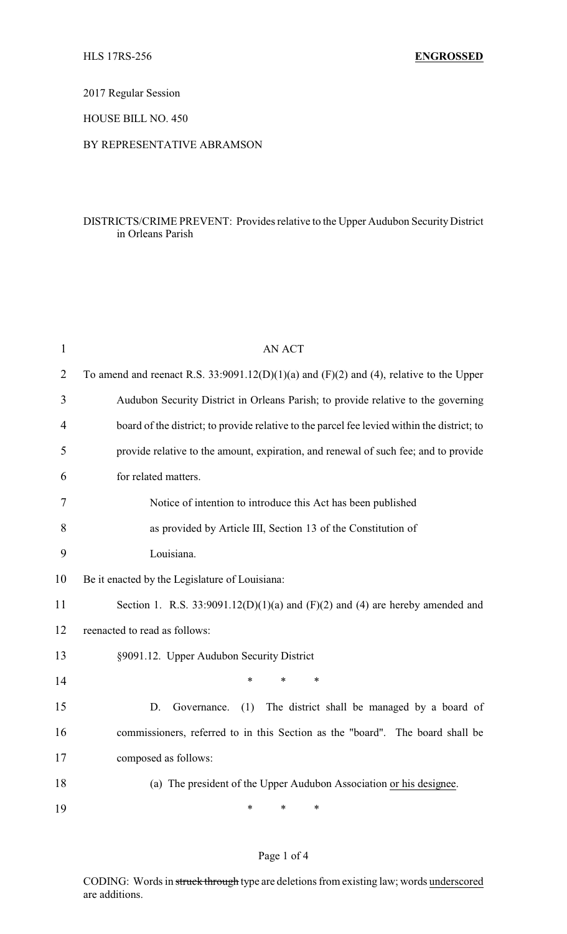2017 Regular Session

HOUSE BILL NO. 450

### BY REPRESENTATIVE ABRAMSON

# DISTRICTS/CRIME PREVENT: Provides relative to the Upper Audubon Security District in Orleans Parish

| $\mathbf{1}$   | <b>AN ACT</b>                                                                               |  |  |
|----------------|---------------------------------------------------------------------------------------------|--|--|
| $\overline{2}$ | To amend and reenact R.S. 33:9091.12(D)(1)(a) and (F)(2) and (4), relative to the Upper     |  |  |
| 3              | Audubon Security District in Orleans Parish; to provide relative to the governing           |  |  |
| 4              | board of the district; to provide relative to the parcel fee levied within the district; to |  |  |
| 5              | provide relative to the amount, expiration, and renewal of such fee; and to provide         |  |  |
| 6              | for related matters.                                                                        |  |  |
| 7              | Notice of intention to introduce this Act has been published                                |  |  |
| 8              | as provided by Article III, Section 13 of the Constitution of                               |  |  |
| 9              | Louisiana.                                                                                  |  |  |
| 10             | Be it enacted by the Legislature of Louisiana:                                              |  |  |
| 11             | Section 1. R.S. $33:9091.12(D)(1)(a)$ and $(F)(2)$ and $(4)$ are hereby amended and         |  |  |
| 12             | reenacted to read as follows:                                                               |  |  |
| 13             | §9091.12. Upper Audubon Security District                                                   |  |  |
| 14             | $\ast$<br>*<br>*                                                                            |  |  |
| 15             | D.<br>The district shall be managed by a board of<br>Governance.<br>(1)                     |  |  |
| 16             | commissioners, referred to in this Section as the "board". The board shall be               |  |  |
| 17             | composed as follows:                                                                        |  |  |
| 18             | (a) The president of the Upper Audubon Association or his designee.                         |  |  |
| 19             | *<br>*<br>*                                                                                 |  |  |

# Page 1 of 4

CODING: Words in struck through type are deletions from existing law; words underscored are additions.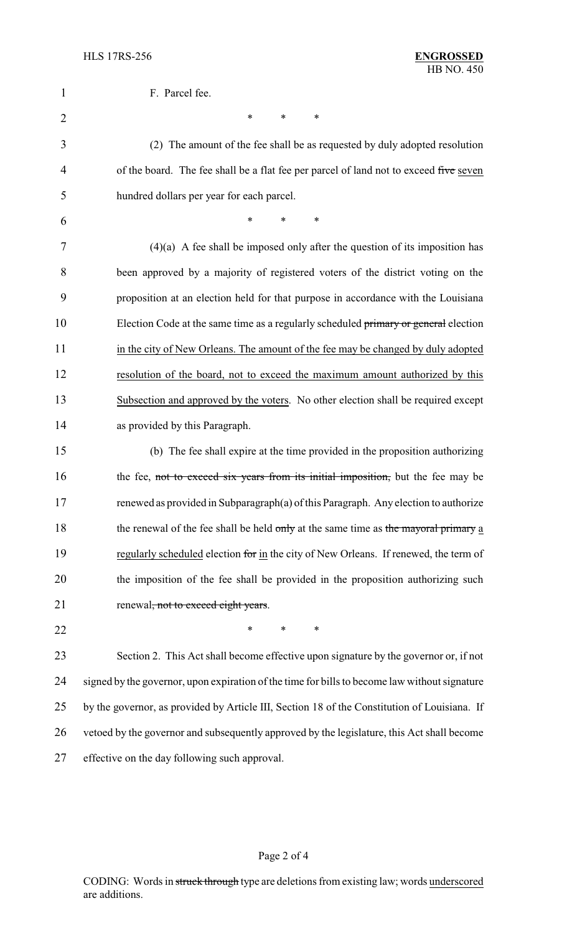| 1              | F. Parcel fee.                                                                                |  |  |
|----------------|-----------------------------------------------------------------------------------------------|--|--|
| $\overline{2}$ | *<br>*<br>*                                                                                   |  |  |
| 3              | (2) The amount of the fee shall be as requested by duly adopted resolution                    |  |  |
| 4              | of the board. The fee shall be a flat fee per parcel of land not to exceed five seven         |  |  |
| 5              | hundred dollars per year for each parcel.                                                     |  |  |
| 6              | *<br>*<br>∗                                                                                   |  |  |
| 7              | $(4)(a)$ A fee shall be imposed only after the question of its imposition has                 |  |  |
| 8              | been approved by a majority of registered voters of the district voting on the                |  |  |
| 9              | proposition at an election held for that purpose in accordance with the Louisiana             |  |  |
| 10             | Election Code at the same time as a regularly scheduled primary or general election           |  |  |
| 11             | in the city of New Orleans. The amount of the fee may be changed by duly adopted              |  |  |
| 12             | resolution of the board, not to exceed the maximum amount authorized by this                  |  |  |
| 13             | Subsection and approved by the voters. No other election shall be required except             |  |  |
| 14             | as provided by this Paragraph.                                                                |  |  |
| 15             | (b) The fee shall expire at the time provided in the proposition authorizing                  |  |  |
| 16             | the fee, not to exceed six years from its initial imposition, but the fee may be              |  |  |
| 17             | renewed as provided in Subparagraph(a) of this Paragraph. Any election to authorize           |  |  |
| 18             | the renewal of the fee shall be held only at the same time as the mayoral primary a           |  |  |
| 19             | regularly scheduled election for in the city of New Orleans. If renewed, the term of          |  |  |
| 20             | the imposition of the fee shall be provided in the proposition authorizing such               |  |  |
| 21             | renewal, not to exceed eight years.                                                           |  |  |
| 22             | $\ast$<br>$\ast$<br>∗                                                                         |  |  |
| 23             | Section 2. This Act shall become effective upon signature by the governor or, if not          |  |  |
| 24             | signed by the governor, upon expiration of the time for bills to become law without signature |  |  |
| 25             | by the governor, as provided by Article III, Section 18 of the Constitution of Louisiana. If  |  |  |
| 26             | vetoed by the governor and subsequently approved by the legislature, this Act shall become    |  |  |
| 27             | effective on the day following such approval.                                                 |  |  |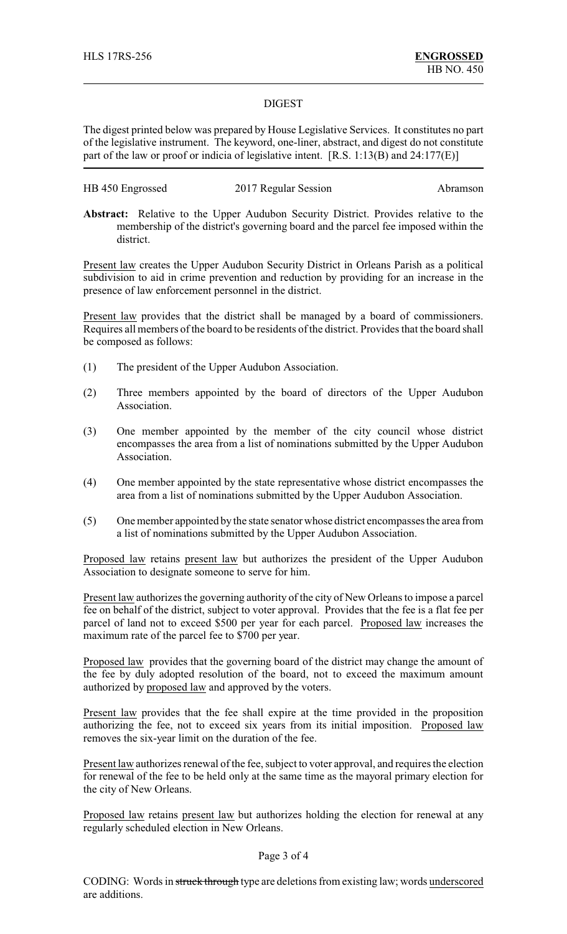#### DIGEST

The digest printed below was prepared by House Legislative Services. It constitutes no part of the legislative instrument. The keyword, one-liner, abstract, and digest do not constitute part of the law or proof or indicia of legislative intent. [R.S. 1:13(B) and 24:177(E)]

| HB 450 Engrossed | 2017 Regular Session | Abramson |
|------------------|----------------------|----------|
|                  |                      |          |

**Abstract:** Relative to the Upper Audubon Security District. Provides relative to the membership of the district's governing board and the parcel fee imposed within the district.

Present law creates the Upper Audubon Security District in Orleans Parish as a political subdivision to aid in crime prevention and reduction by providing for an increase in the presence of law enforcement personnel in the district.

Present law provides that the district shall be managed by a board of commissioners. Requires all members of the board to be residents of the district. Provides that the board shall be composed as follows:

- (1) The president of the Upper Audubon Association.
- (2) Three members appointed by the board of directors of the Upper Audubon Association.
- (3) One member appointed by the member of the city council whose district encompasses the area from a list of nominations submitted by the Upper Audubon Association.
- (4) One member appointed by the state representative whose district encompasses the area from a list of nominations submitted by the Upper Audubon Association.
- (5) One member appointed by the state senator whose district encompasses the area from a list of nominations submitted by the Upper Audubon Association.

Proposed law retains present law but authorizes the president of the Upper Audubon Association to designate someone to serve for him.

Present law authorizes the governing authority of the city of New Orleans to impose a parcel fee on behalf of the district, subject to voter approval. Provides that the fee is a flat fee per parcel of land not to exceed \$500 per year for each parcel. Proposed law increases the maximum rate of the parcel fee to \$700 per year.

Proposed law provides that the governing board of the district may change the amount of the fee by duly adopted resolution of the board, not to exceed the maximum amount authorized by proposed law and approved by the voters.

Present law provides that the fee shall expire at the time provided in the proposition authorizing the fee, not to exceed six years from its initial imposition. Proposed law removes the six-year limit on the duration of the fee.

Present law authorizes renewal of the fee, subject to voter approval, and requires the election for renewal of the fee to be held only at the same time as the mayoral primary election for the city of New Orleans.

Proposed law retains present law but authorizes holding the election for renewal at any regularly scheduled election in New Orleans.

#### Page 3 of 4

CODING: Words in struck through type are deletions from existing law; words underscored are additions.